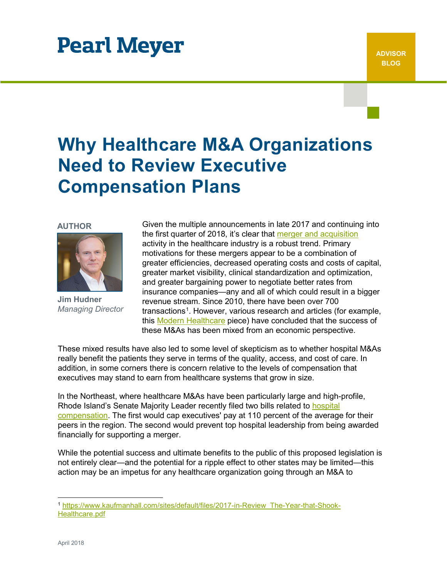# **Pearl Meyer**

## **Why Healthcare M&A Organizations Need to Review Executive Compensation Plans**

#### **AUTHOR**



**Jim Hudner** *Managing Director*

Given the multiple announcements in late 2017 and continuing into the first quarter of 2018, it's clear that [merger and acquisition](https://www.pearlmeyer.com/specialized-expertise/mergers-and-acquisitions) activity in the healthcare industry is a robust trend. Primary motivations for these mergers appear to be a combination of greater efficiencies, decreased operating costs and costs of capital, greater market visibility, clinical standardization and optimization, and greater bargaining power to negotiate better rates from insurance companies—any and all of which could result in a bigger revenue stream. Since 2010, there have been over 700 transactions<sup>[1](#page-0-0)</sup>. However, various research and articles (for example, this [Modern Healthcare](http://www.modernhealthcare.com/article/20160423/MAGAZINE/304239980) piece) have concluded that the success of these M&As has been mixed from an economic perspective.

These mixed results have also led to some level of skepticism as to whether hospital M&As really benefit the patients they serve in terms of the quality, access, and cost of care. In addition, in some corners there is concern relative to the levels of compensation that executives may stand to earn from healthcare systems that grow in size.

In the Northeast, where healthcare M&As have been particularly large and high-profile, Rhode Island's Senate Majority Leader recently filed two bills related to hospital [compensation.](https://www.pearlmeyer.com/specialized-expertise/healthcare) The first would cap executives' pay at 110 percent of the average for their peers in the region. The second would prevent top hospital leadership from being awarded financially for supporting a merger.

While the potential success and ultimate benefits to the public of this proposed legislation is not entirely clear—and the potential for a ripple effect to other states may be limited—this action may be an impetus for any healthcare organization going through an M&A to

<span id="page-0-0"></span> <sup>1</sup> https://www.kaufmanhall.com/sites/default/files/2017-in-Review\_The-Year-that-Shook-Healthcare.pdf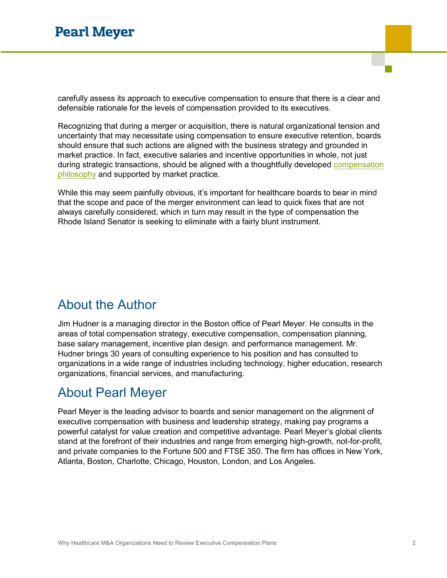carefully assess its approach to executive compensation to ensure that there is a clear and defensible rationale for the levels of compensation provided to its executives.

Recognizing that during a merger or acquisition, there is natural organizational tension and uncertainty that may necessitate using compensation to ensure executive retention, boards should ensure that such actions are aligned with the business strategy and grounded in market practice. In fact, executive salaries and incentive opportunities in whole, not just during strategic transactions, should be aligned with a thoughtfully developed [compensation](https://www.pearlmeyer.com/why-pearl-meyer/our-philosophy) [philosophy](https://www.pearlmeyer.com/why-pearl-meyer/our-philosophy) and supported by market practice.

While this may seem painfully obvious, it's important for healthcare boards to bear in mind that the scope and pace of the merger environment can lead to quick fixes that are not always carefully considered, which in turn may result in the type of compensation the Rhode Island Senator is seeking to eliminate with a fairly blunt instrument.

### About the Author

Jim Hudner is a managing director in the Boston office of Pearl Meyer. He consults in the areas of total compensation strategy, executive compensation, compensation planning, base salary management, incentive plan design. and performance management. Mr. Hudner brings 30 years of consulting experience to his position and has consulted to organizations in a wide range of industries including technology, higher education, research organizations, financial services, and manufacturing.

### About Pearl Meyer

Pearl Meyer is the leading advisor to boards and senior management on the alignment of executive compensation with business and leadership strategy, making pay programs a powerful catalyst for value creation and competitive advantage. Pearl Meyer's global clients stand at the forefront of their industries and range from emerging high-growth, not-for-profit, and private companies to the Fortune 500 and FTSE 350. The firm has offices in New York, Atlanta, Boston, Charlotte, Chicago, Houston, London, and Los Angeles.